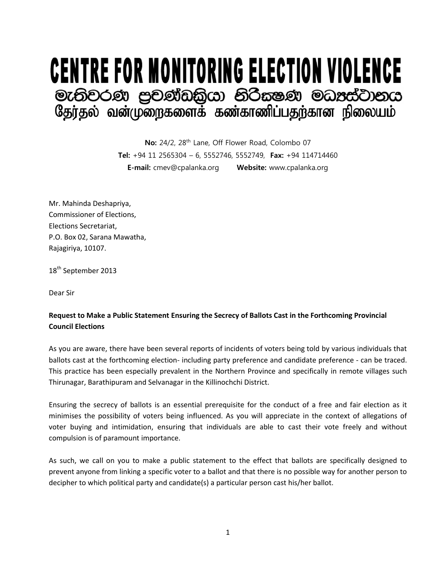## **CENTRE FOR MONITORING ELECTION VIOLENCE** මැතිවරණ පුවණ්ඩකියා නිරීසෂණ මධාස්වානය<br>தேர்தல் வன்முறைகளைக் கண்காணிப்பதற்கான நிலையம்

No: 24/2, 28<sup>th</sup> Lane, Off Flower Road, Colombo 07 **Tel:** +94 11 2565304 – 6, 5552746, 5552749, **Fax:** +94 114714460 **E-mail:** cmev@cpalanka.org **Website:** www.cpalanka.org

Mr. Mahinda Deshapriya, Commissioner of Elections, Elections Secretariat, P.O. Box 02, Sarana Mawatha, Rajagiriya, 10107.

18<sup>th</sup> September 2013

Dear Sir

## **Request to Make a Public Statement Ensuring the Secrecy of Ballots Cast in the Forthcoming Provincial Council Elections**

As you are aware, there have been several reports of incidents of voters being told by various individuals that ballots cast at the forthcoming election- including party preference and candidate preference - can be traced. This practice has been especially prevalent in the Northern Province and specifically in remote villages such Thirunagar, Barathipuram and Selvanagar in the Killinochchi District.

Ensuring the secrecy of ballots is an essential prerequisite for the conduct of a free and fair election as it minimises the possibility of voters being influenced. As you will appreciate in the context of allegations of voter buying and intimidation, ensuring that individuals are able to cast their vote freely and without compulsion is of paramount importance.

As such, we call on you to make a public statement to the effect that ballots are specifically designed to prevent anyone from linking a specific voter to a ballot and that there is no possible way for another person to decipher to which political party and candidate(s) a particular person cast his/her ballot.